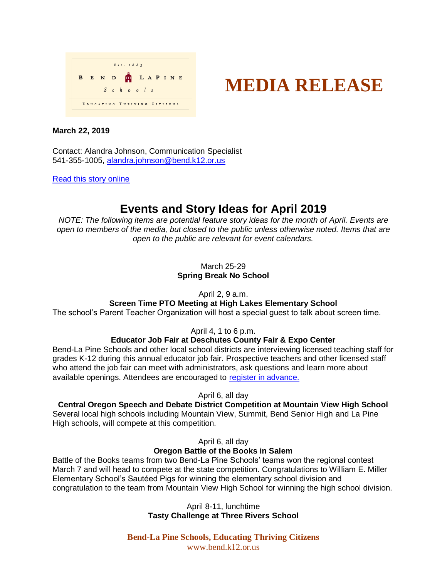



## **March 22, 2019**

Contact: Alandra Johnson, Communication Specialist 541-355-1005, [alandra.johnson@bend.k12.or.us](mailto:alandra.johnson@bend.k12.or.us)

[Read this story online](https://www.bend.k12.or.us/district/news-events/news/2019/03/battle-books-job-fair-and-more)

# **Events and Story Ideas for April 2019**

*NOTE: The following items are potential feature story ideas for the month of April. Events are open to members of the media, but closed to the public unless otherwise noted. Items that are open to the public are relevant for event calendars.*

> March 25-29 **Spring Break No School**

> > April 2, 9 a.m.

## **Screen Time PTO Meeting at High Lakes Elementary School**

The school's Parent Teacher Organization will host a special guest to talk about screen time.

April 4, 1 to 6 p.m.

# **Educator Job Fair at Deschutes County Fair & Expo Center**

Bend-La Pine Schools and other local school districts are interviewing licensed teaching staff for grades K-12 during this annual educator job fair. Prospective teachers and other licensed staff who attend the job fair can meet with administrators, ask questions and learn more about available openings. Attendees are encouraged to [register in advance.](https://www.applitrack.com/bend/onlineapp/default.aspx?Category=Job+Fair)

April 6, all day

## **Central Oregon Speech and Debate District Competition at Mountain View High School**

Several local high schools including Mountain View, Summit, Bend Senior High and La Pine High schools, will compete at this competition.

April 6, all day

# **Oregon Battle of the Books in Salem**

Battle of the Books teams from two Bend-La Pine Schools' teams won the regional contest March 7 and will head to compete at the state competition. Congratulations to William E. Miller Elementary School's Sautéed Pigs for winning the elementary school division and congratulation to the team from Mountain View High School for winning the high school division.

> April 8-11, lunchtime **Tasty Challenge at Three Rivers School**

**Bend-La Pine Schools, Educating Thriving Citizens** www.bend.k12.or.us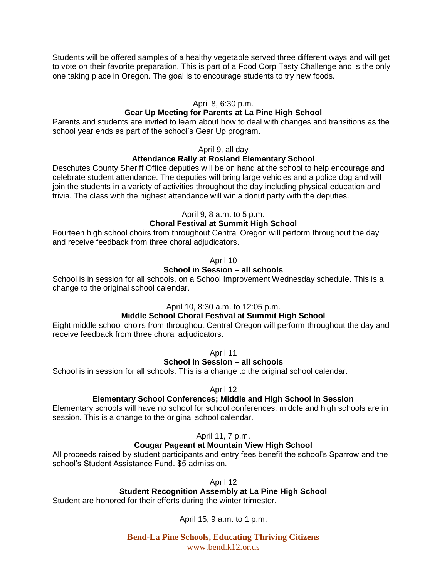Students will be offered samples of a healthy vegetable served three different ways and will get to vote on their favorite preparation. This is part of a Food Corp Tasty Challenge and is the only one taking place in Oregon. The goal is to encourage students to try new foods.

## April 8, 6:30 p.m.

## **Gear Up Meeting for Parents at La Pine High School**

Parents and students are invited to learn about how to deal with changes and transitions as the school year ends as part of the school's Gear Up program.

#### April 9, all day

## **Attendance Rally at Rosland Elementary School**

Deschutes County Sheriff Office deputies will be on hand at the school to help encourage and celebrate student attendance. The deputies will bring large vehicles and a police dog and will join the students in a variety of activities throughout the day including physical education and trivia. The class with the highest attendance will win a donut party with the deputies.

## April 9, 8 a.m. to 5 p.m.

## **Choral Festival at Summit High School**

Fourteen high school choirs from throughout Central Oregon will perform throughout the day and receive feedback from three choral adjudicators.

#### April 10

## **School in Session – all schools**

School is in session for all schools, on a School Improvement Wednesday schedule. This is a change to the original school calendar.

#### April 10, 8:30 a.m. to 12:05 p.m.

## **Middle School Choral Festival at Summit High School**

Eight middle school choirs from throughout Central Oregon will perform throughout the day and receive feedback from three choral adjudicators.

April 11

#### **School in Session – all schools**

School is in session for all schools. This is a change to the original school calendar.

#### April 12

#### **Elementary School Conferences; Middle and High School in Session**

Elementary schools will have no school for school conferences; middle and high schools are in session. This is a change to the original school calendar.

#### April 11, 7 p.m.

#### **Cougar Pageant at Mountain View High School**

All proceeds raised by student participants and entry fees benefit the school's Sparrow and the school's Student Assistance Fund. \$5 admission.

April 12

## **Student Recognition Assembly at La Pine High School**

Student are honored for their efforts during the winter trimester.

April 15, 9 a.m. to 1 p.m.

**Bend-La Pine Schools, Educating Thriving Citizens** www.bend.k12.or.us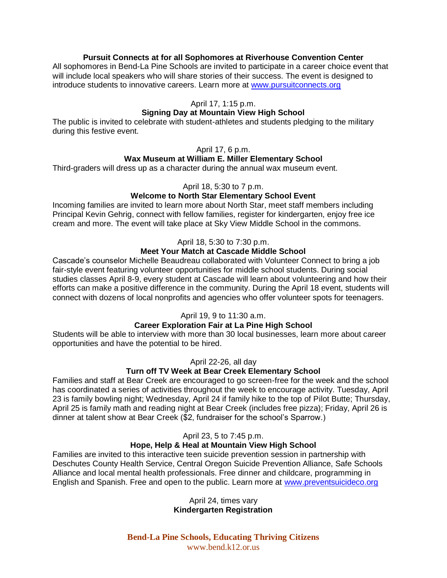## **Pursuit Connects at for all Sophomores at Riverhouse Convention Center**

All sophomores in Bend-La Pine Schools are invited to participate in a career choice event that will include local speakers who will share stories of their success. The event is designed to introduce students to innovative careers. Learn more at [www.pursuitconnects.org](http://www.pursuitconnects.org/)

#### April 17, 1:15 p.m.

## **Signing Day at Mountain View High School**

The public is invited to celebrate with student-athletes and students pledging to the military during this festive event.

#### April 17, 6 p.m.

## **Wax Museum at William E. Miller Elementary School**

Third-graders will dress up as a character during the annual wax museum event.

#### April 18, 5:30 to 7 p.m.

## **Welcome to North Star Elementary School Event**

Incoming families are invited to learn more about North Star, meet staff members including Principal Kevin Gehrig, connect with fellow families, register for kindergarten, enjoy free ice cream and more. The event will take place at Sky View Middle School in the commons.

#### April 18, 5:30 to 7:30 p.m.

## **Meet Your Match at Cascade Middle School**

Cascade's counselor Michelle Beaudreau collaborated with Volunteer Connect to bring a job fair-style event featuring volunteer opportunities for middle school students. During social studies classes April 8-9, every student at Cascade will learn about volunteering and how their efforts can make a positive difference in the community. During the April 18 event, students will connect with dozens of local nonprofits and agencies who offer volunteer spots for teenagers.

#### April 19, 9 to 11:30 a.m.

## **Career Exploration Fair at La Pine High School**

Students will be able to interview with more than 30 local businesses, learn more about career opportunities and have the potential to be hired.

April 22-26, all day

#### **Turn off TV Week at Bear Creek Elementary School**

Families and staff at Bear Creek are encouraged to go screen-free for the week and the school has coordinated a series of activities throughout the week to encourage activity. Tuesday, April 23 is family bowling night; Wednesday, April 24 if family hike to the top of Pilot Butte; Thursday, April 25 is family math and reading night at Bear Creek (includes free pizza); Friday, April 26 is dinner at talent show at Bear Creek (\$2, fundraiser for the school's Sparrow.)

#### April 23, 5 to 7:45 p.m.

## **Hope, Help & Heal at Mountain View High School**

Families are invited to this interactive teen suicide prevention session in partnership with Deschutes County Health Service, Central Oregon Suicide Prevention Alliance, Safe Schools Alliance and local mental health professionals. Free dinner and childcare, programming in English and Spanish. Free and open to the public. Learn more at [www.preventsuicideco.org](http://www.preventsuicideco.org/)

> April 24, times vary **Kindergarten Registration**

**Bend-La Pine Schools, Educating Thriving Citizens** www.bend.k12.or.us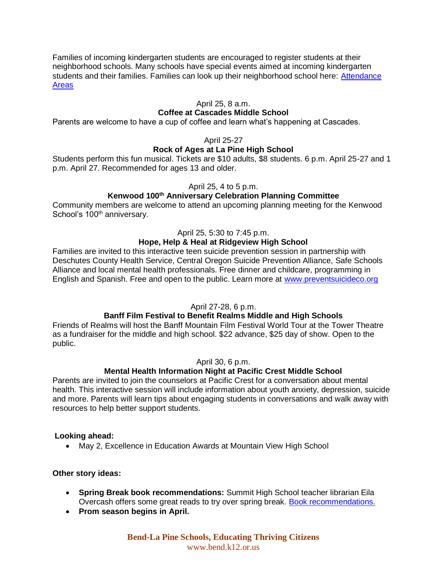Families of incoming kindergarten students are encouraged to register students at their neighborhood schools. Many schools have special events aimed at incoming kindergarten students and their families. Families can look up their neighborhood school here: Attendance [Areas](https://www.bend.k12.or.us/district/parents/attendance-areas)

## April 25, 8 a.m.

## **Coffee at Cascades Middle School**

Parents are welcome to have a cup of coffee and learn what's happening at Cascades.

## April 25-27

## **Rock of Ages at La Pine High School**

Students perform this fun musical. Tickets are \$10 adults, \$8 students. 6 p.m. April 25-27 and 1 p.m. April 27. Recommended for ages 13 and older.

#### April 25, 4 to 5 p.m.

## **Kenwood 100th Anniversary Celebration Planning Committee**

Community members are welcome to attend an upcoming planning meeting for the Kenwood School's 100<sup>th</sup> anniversary.

## April 25, 5:30 to 7:45 p.m.

## **Hope, Help & Heal at Ridgeview High School**

Families are invited to this interactive teen suicide prevention session in partnership with Deschutes County Health Service, Central Oregon Suicide Prevention Alliance, Safe Schools Alliance and local mental health professionals. Free dinner and childcare, programming in English and Spanish. Free and open to the public. Learn more at [www.preventsuicideco.org](http://www.preventsuicideco.org/)

#### April 27-28, 6 p.m.

## **Banff Film Festival to Benefit Realms Middle and High Schools**

Friends of Realms will host the Banff Mountain Film Festival World Tour at the Tower Theatre as a fundraiser for the middle and high school. \$22 advance, \$25 day of show. Open to the public.

## April 30, 6 p.m.

# **Mental Health Information Night at Pacific Crest Middle School**

Parents are invited to join the counselors at Pacific Crest for a conversation about mental health. This interactive session will include information about youth anxiety, depression, suicide and more. Parents will learn tips about engaging students in conversations and walk away with resources to help better support students.

#### **Looking ahead:**

• May 2, Excellence in Education Awards at Mountain View High School

#### **Other story ideas:**

- **Spring Break book recommendations:** Summit High School teacher librarian Eila Overcash offers some great reads to try over spring break. [Book recommendations.](https://www.smore.com/1v893)
- **Prom season begins in April.**